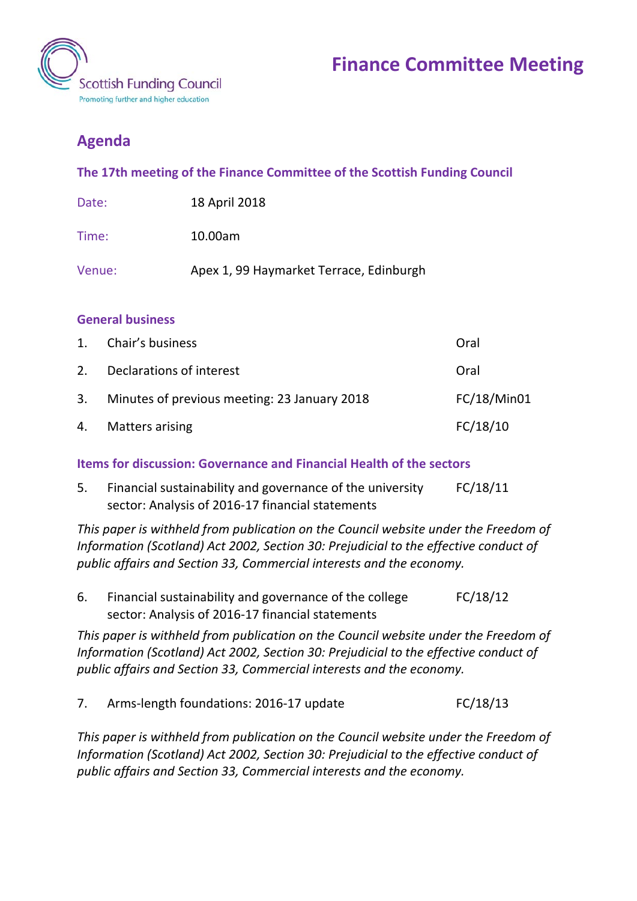

## **Agenda**

**The 17th meeting of the Finance Committee of the Scottish Funding Council**

| Date: | 18 April 2018 |
|-------|---------------|
|-------|---------------|

Time: 10.00am

Venue: Apex 1, 99 Haymarket Terrace, Edinburgh

## **General business**

|    | 1. Chair's business                             | Oral        |
|----|-------------------------------------------------|-------------|
| 2. | Declarations of interest                        | Oral        |
|    | 3. Minutes of previous meeting: 23 January 2018 | FC/18/Min01 |
|    | 4. Matters arising                              | FC/18/10    |

**Items for discussion: Governance and Financial Health of the sectors**

5. Financial sustainability and governance of the university sector: Analysis of 2016-17 financial statements FC/18/11

*This paper is withheld from publication on the Council website under the Freedom of Information (Scotland) Act 2002, Section 30: Prejudicial to the effective conduct of public affairs and Section 33, Commercial interests and the economy.*

6. Financial sustainability and governance of the college sector: Analysis of 2016-17 financial statements FC/18/12

*This paper is withheld from publication on the Council website under the Freedom of Information (Scotland) Act 2002, Section 30: Prejudicial to the effective conduct of public affairs and Section 33, Commercial interests and the economy.*

7. Arms-length foundations: 2016-17 update FC/18/13

*This paper is withheld from publication on the Council website under the Freedom of Information (Scotland) Act 2002, Section 30: Prejudicial to the effective conduct of public affairs and Section 33, Commercial interests and the economy.*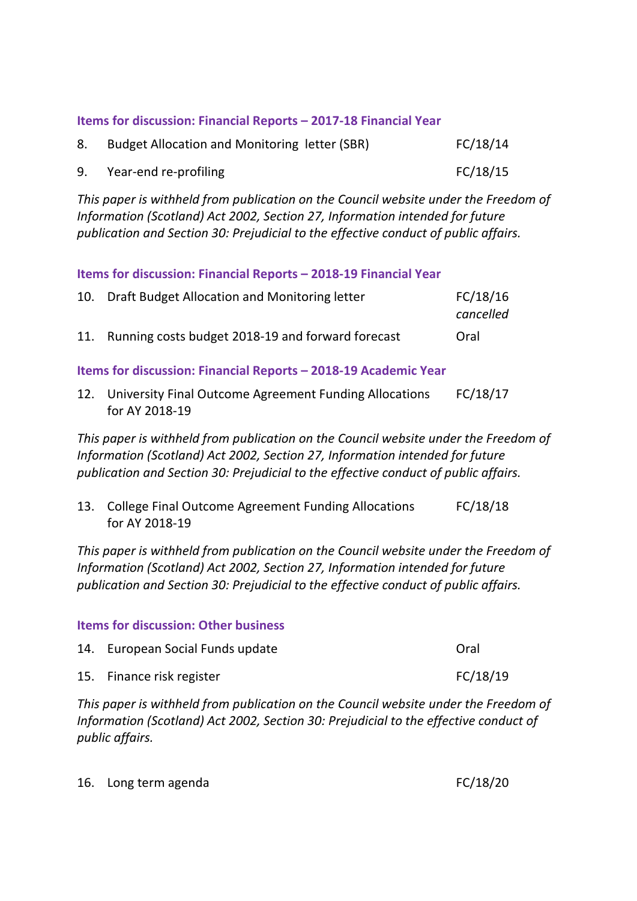## **Items for discussion: Financial Reports – 2017-18 Financial Year**

| 8. | Budget Allocation and Monitoring letter (SBR) | FC/18/14 |
|----|-----------------------------------------------|----------|
| 9. | Year-end re-profiling                         | FC/18/15 |

*This paper is withheld from publication on the Council website under the Freedom of Information (Scotland) Act 2002, Section 27, Information intended for future publication and Section 30: Prejudicial to the effective conduct of public affairs.*

**Items for discussion: Financial Reports – 2018-19 Financial Year**

|     | 10. Draft Budget Allocation and Monitoring letter | FC/18/16  |
|-----|---------------------------------------------------|-----------|
|     |                                                   | cancelled |
| 11. | Running costs budget 2018-19 and forward forecast | Oral      |

**Items for discussion: Financial Reports – 2018-19 Academic Year**

12. University Final Outcome Agreement Funding Allocations for AY 2018-19 FC/18/17

*This paper is withheld from publication on the Council website under the Freedom of Information (Scotland) Act 2002, Section 27, Information intended for future publication and Section 30: Prejudicial to the effective conduct of public affairs.*

13. College Final Outcome Agreement Funding Allocations for AY 2018-19 FC/18/18

*This paper is withheld from publication on the Council website under the Freedom of Information (Scotland) Act 2002, Section 27, Information intended for future publication and Section 30: Prejudicial to the effective conduct of public affairs.*

## **Items for discussion: Other business**

| 14. European Social Funds update | Oral     |
|----------------------------------|----------|
| 15. Finance risk register        | FC/18/19 |

*This paper is withheld from publication on the Council website under the Freedom of Information (Scotland) Act 2002, Section 30: Prejudicial to the effective conduct of public affairs.*

16. Long term agenda FC/18/20